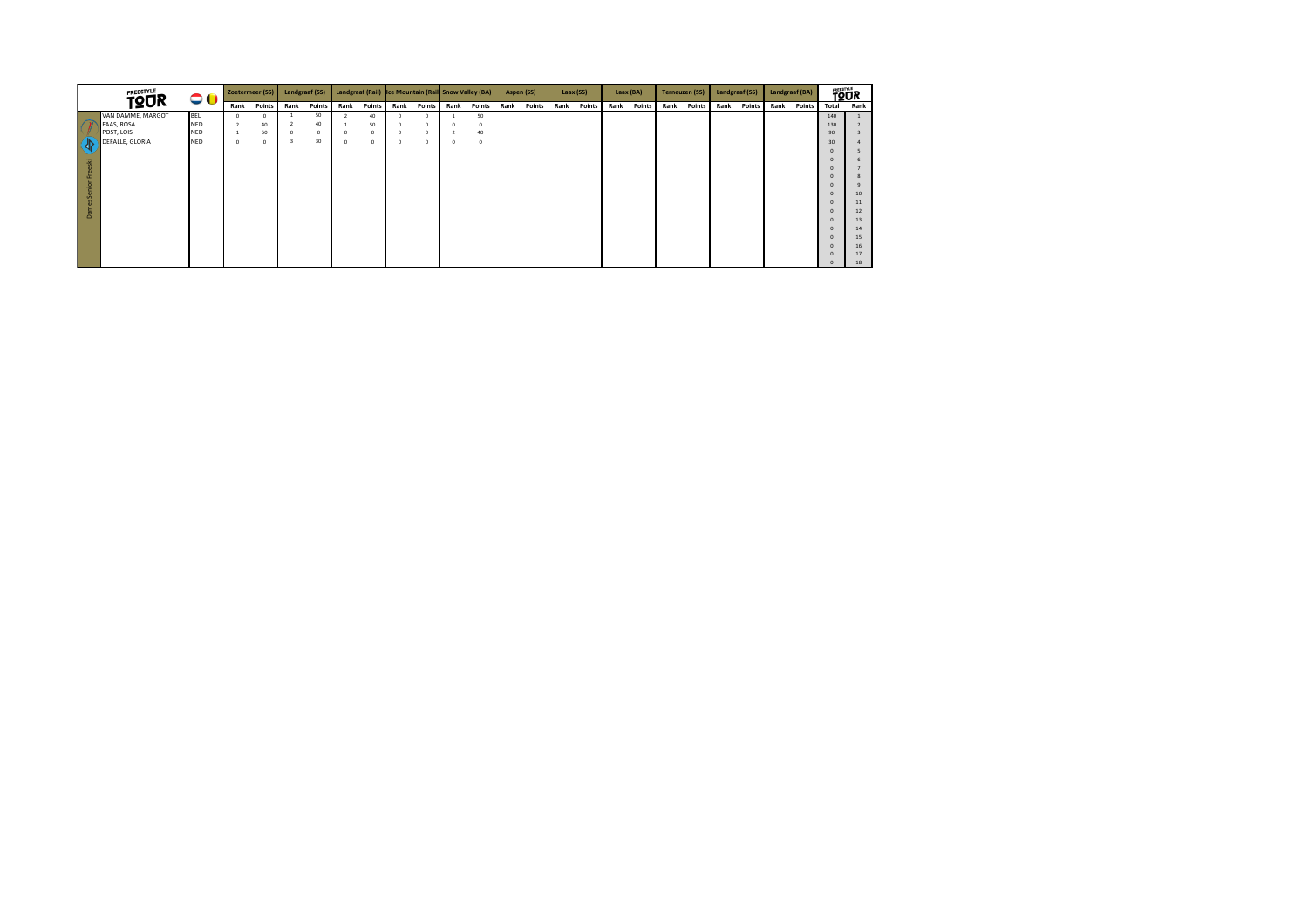|                | <b>FREESTYLE</b><br>00<br><b>TQUR</b> |            | Zoetermeer (SS) |            | Landgraaf (SS) |        |            |        | Landgraaf (Rail) Ice Mountain (Rail Snow Valley (BA) |            |            |            | Aspen (SS) |        | Laax (SS) |        | Laax (BA) |        | <b>Terneuzen (SS)</b> |        | Landgraaf (SS) |        | Landgraaf (BA) |        | <b>TOUR</b> |          |
|----------------|---------------------------------------|------------|-----------------|------------|----------------|--------|------------|--------|------------------------------------------------------|------------|------------|------------|------------|--------|-----------|--------|-----------|--------|-----------------------|--------|----------------|--------|----------------|--------|-------------|----------|
|                |                                       |            | Rank            | Points     | Rank           | Points | Rank       | Points | Rank                                                 | Points     | Rank       | Points     | Rank       | Points | Rank      | Points | Rank      | Points | Rank                  | Points | Rank           | Points | Rank           | Points | Total       | Rank     |
|                | VAN DAMME, MARGOT                     | BEL        | $\Omega$        |            |                | 50     |            | 40     |                                                      | $^{\circ}$ |            | 50         |            |        |           |        |           |        |                       |        |                |        |                |        | 140         |          |
|                | FAAS, ROSA                            | <b>NED</b> |                 | 40         |                | 40     |            | 50     |                                                      | $^{\circ}$ | $^{\circ}$ | $^{\circ}$ |            |        |           |        |           |        |                       |        |                |        |                |        | 130         |          |
|                | POST, LOIS                            | <b>NED</b> |                 | 50         | $\Omega$       | 0      | $\circ$    | n      |                                                      | $^{\circ}$ |            | 40         |            |        |           |        |           |        |                       |        |                |        |                |        | 90          |          |
| $\overline{a}$ | DEFALLE, GLORIA                       | <b>NED</b> | $^{\circ}$      | $^{\circ}$ |                | 30     | $^{\circ}$ |        |                                                      | $^{\circ}$ | $^{\circ}$ | $^{\circ}$ |            |        |           |        |           |        |                       |        |                |        |                |        | 30          |          |
|                |                                       |            |                 |            |                |        |            |        |                                                      |            |            |            |            |        |           |        |           |        |                       |        |                |        |                |        |             |          |
| aski           |                                       |            |                 |            |                |        |            |        |                                                      |            |            |            |            |        |           |        |           |        |                       |        |                |        |                |        |             |          |
| e,             |                                       |            |                 |            |                |        |            |        |                                                      |            |            |            |            |        |           |        |           |        |                       |        |                |        |                |        |             |          |
|                |                                       |            |                 |            |                |        |            |        |                                                      |            |            |            |            |        |           |        |           |        |                       |        |                |        |                |        |             |          |
| Senior         |                                       |            |                 |            |                |        |            |        |                                                      |            |            |            |            |        |           |        |           |        |                       |        |                |        |                |        |             |          |
|                |                                       |            |                 |            |                |        |            |        |                                                      |            |            |            |            |        |           |        |           |        |                       |        |                |        |                |        | n           | 10<br>11 |
|                |                                       |            |                 |            |                |        |            |        |                                                      |            |            |            |            |        |           |        |           |        |                       |        |                |        |                |        |             | 12       |
| ā              |                                       |            |                 |            |                |        |            |        |                                                      |            |            |            |            |        |           |        |           |        |                       |        |                |        |                |        |             | 13       |
|                |                                       |            |                 |            |                |        |            |        |                                                      |            |            |            |            |        |           |        |           |        |                       |        |                |        |                |        |             | 14       |
|                |                                       |            |                 |            |                |        |            |        |                                                      |            |            |            |            |        |           |        |           |        |                       |        |                |        |                |        |             | 15       |
|                |                                       |            |                 |            |                |        |            |        |                                                      |            |            |            |            |        |           |        |           |        |                       |        |                |        |                |        |             | 16       |
|                |                                       |            |                 |            |                |        |            |        |                                                      |            |            |            |            |        |           |        |           |        |                       |        |                |        |                |        |             | 17       |
|                |                                       |            |                 |            |                |        |            |        |                                                      |            |            |            |            |        |           |        |           |        |                       |        |                |        |                |        |             | 18       |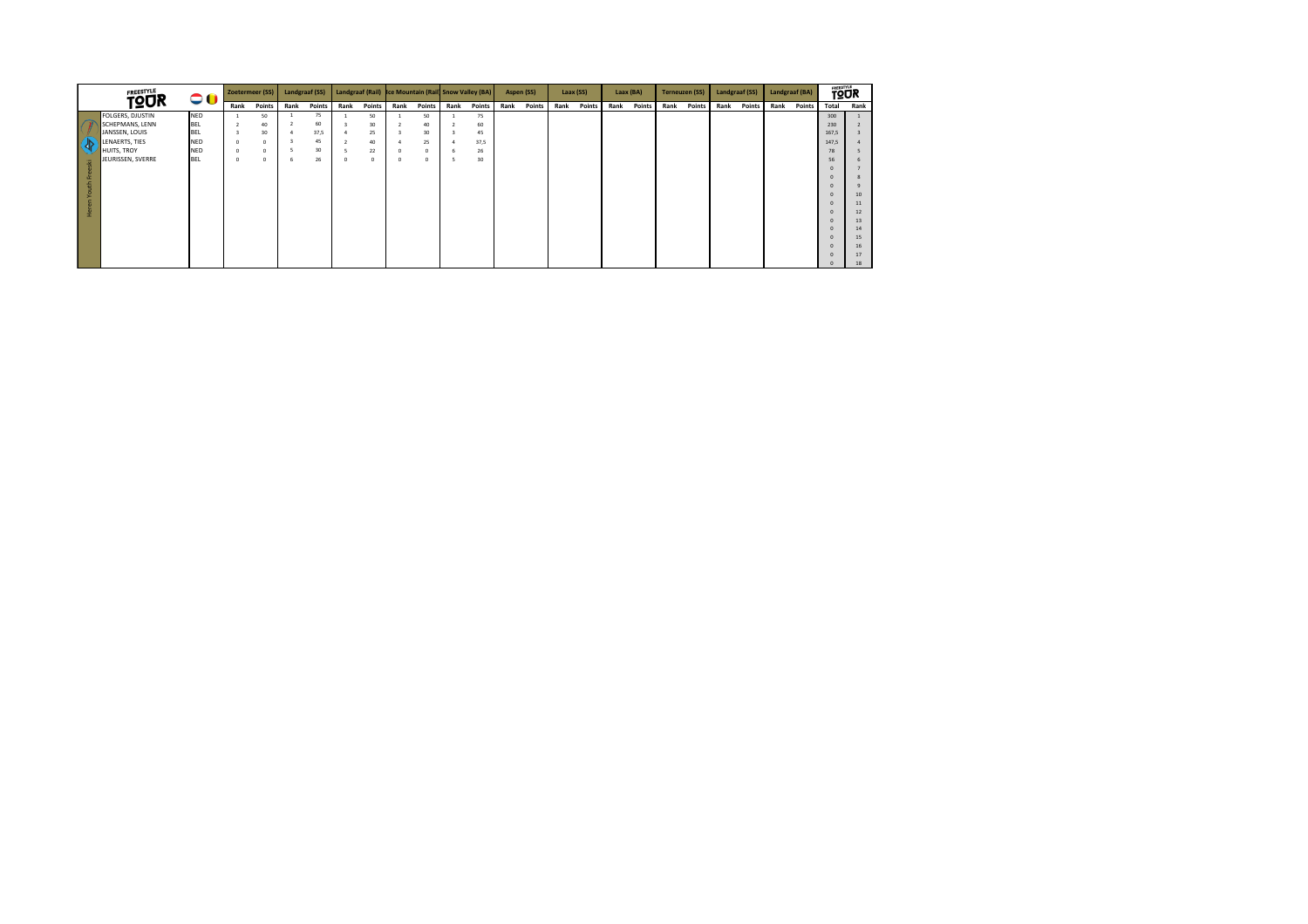|          | <b>FREESTYLE</b><br>00<br><b>TOUR</b> |            | Zoetermeer (SS) |               | Landgraaf (SS) |        |      |               | Landgraaf (Rail) Ice Mountain (Rail Snow Valley (BA) |            |             |               | Aspen (SS) |             | Laax (SS) |               | Laax (BA) |               | <b>Terneuzen (SS)</b> |               | <b>Landgraaf (SS)</b> |        | Landgraaf (BA) |               | <b>TOUR</b> |          |
|----------|---------------------------------------|------------|-----------------|---------------|----------------|--------|------|---------------|------------------------------------------------------|------------|-------------|---------------|------------|-------------|-----------|---------------|-----------|---------------|-----------------------|---------------|-----------------------|--------|----------------|---------------|-------------|----------|
|          |                                       |            | Rank            | <b>Points</b> | Rank           | Points | Rank | <b>Points</b> | Rank                                                 |            | Points Rank | <b>Points</b> | Rank       | Points Rank |           | <b>Points</b> | Rank      | <b>Points</b> | Rank                  | <b>Points</b> | Rank                  | Points | Rank           | <b>Points</b> | Total       | Rank     |
|          | FOLGERS, DJUSTIN                      | <b>NED</b> |                 | 50            |                | 75     |      | 50            |                                                      | 50         |             | 75            |            |             |           |               |           |               |                       |               |                       |        |                |               | 300         |          |
|          | SCHEPMANS, LENN                       | <b>BEL</b> |                 | 40            |                | 60     |      | 30            |                                                      | 40         |             | 60            |            |             |           |               |           |               |                       |               |                       |        |                |               | 230         |          |
|          | JANSSEN, LOUIS                        | <b>BEL</b> |                 | 30            |                | 37,5   |      | 25            |                                                      | 30         |             | 45            |            |             |           |               |           |               |                       |               |                       |        |                |               | 167,5       |          |
| ľ di     | LENAERTS, TIES                        | <b>NED</b> |                 | 0             |                | 45     | -4   | 40            |                                                      | 25         |             | 37,5          |            |             |           |               |           |               |                       |               |                       |        |                |               | 147,5       |          |
|          | HUITS, TROY                           | <b>NED</b> |                 | $^{\circ}$    |                | 30     |      | 22            |                                                      | $^{\circ}$ |             | 26            |            |             |           |               |           |               |                       |               |                       |        |                |               | 78          |          |
| 훞        | JEURISSEN, SVERRE                     | BEL        |                 | $^{\circ}$    | -6             | 26     |      | $^{\circ}$    | $\mathbf{0}$                                         | $^{\circ}$ | n.          | 30            |            |             |           |               |           |               |                       |               |                       |        |                |               | 56          |          |
|          |                                       |            |                 |               |                |        |      |               |                                                      |            |             |               |            |             |           |               |           |               |                       |               |                       |        |                |               |             |          |
| u.       |                                       |            |                 |               |                |        |      |               |                                                      |            |             |               |            |             |           |               |           |               |                       |               |                       |        |                |               |             |          |
|          |                                       |            |                 |               |                |        |      |               |                                                      |            |             |               |            |             |           |               |           |               |                       |               |                       |        |                |               |             |          |
| ءِ       |                                       |            |                 |               |                |        |      |               |                                                      |            |             |               |            |             |           |               |           |               |                       |               |                       |        |                |               |             | 10       |
|          |                                       |            |                 |               |                |        |      |               |                                                      |            |             |               |            |             |           |               |           |               |                       |               |                       |        |                |               |             | 11       |
| <b>f</b> |                                       |            |                 |               |                |        |      |               |                                                      |            |             |               |            |             |           |               |           |               |                       |               |                       |        |                |               |             | 12       |
|          |                                       |            |                 |               |                |        |      |               |                                                      |            |             |               |            |             |           |               |           |               |                       |               |                       |        |                |               |             | 13       |
|          |                                       |            |                 |               |                |        |      |               |                                                      |            |             |               |            |             |           |               |           |               |                       |               |                       |        |                |               |             | 14       |
|          |                                       |            |                 |               |                |        |      |               |                                                      |            |             |               |            |             |           |               |           |               |                       |               |                       |        |                |               |             | 15<br>16 |
|          |                                       |            |                 |               |                |        |      |               |                                                      |            |             |               |            |             |           |               |           |               |                       |               |                       |        |                |               |             | 17       |
|          |                                       |            |                 |               |                |        |      |               |                                                      |            |             |               |            |             |           |               |           |               |                       |               |                       |        |                |               |             | 18       |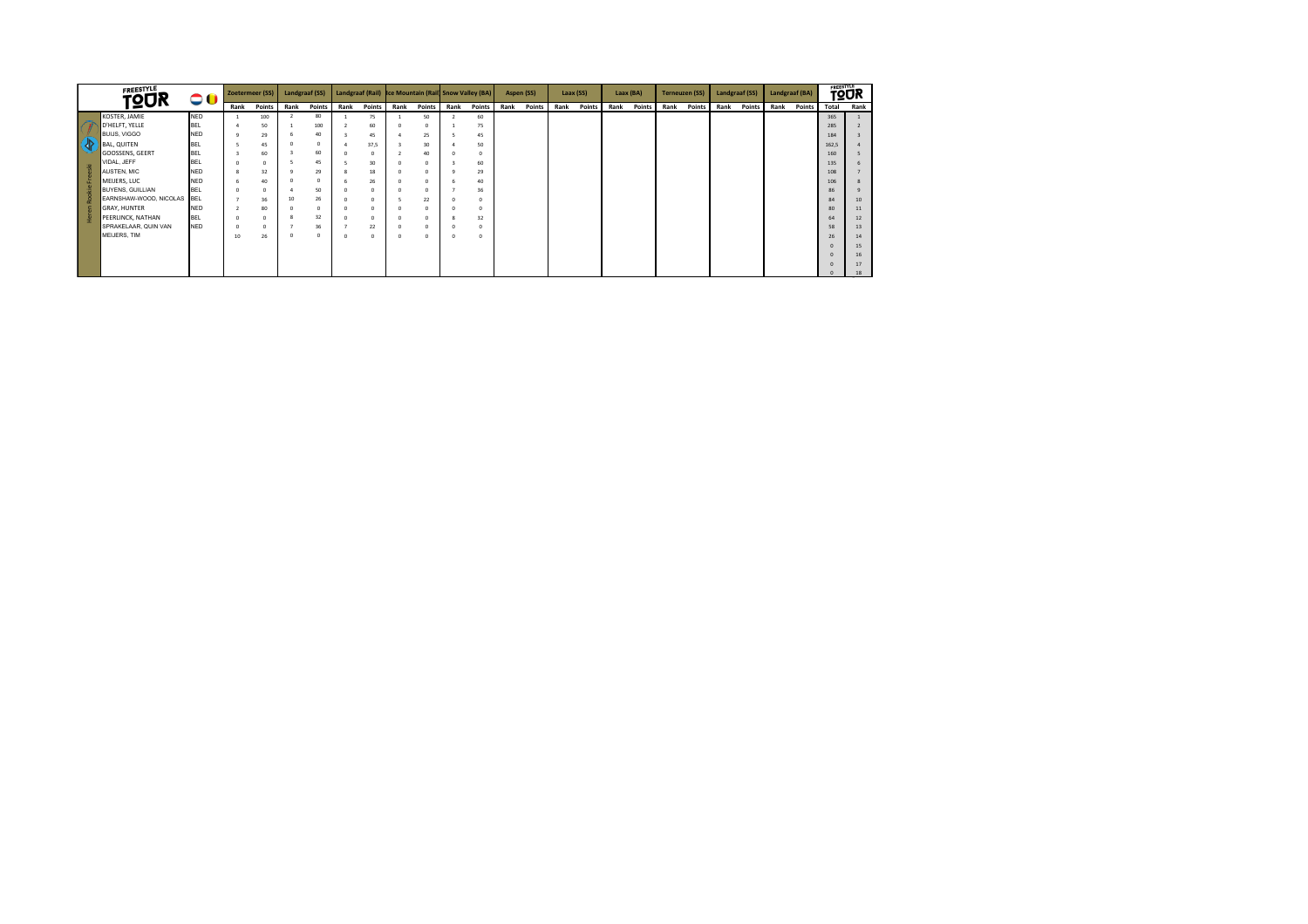|            | <b>FREESTYLE</b><br><b>TOUR</b><br>00 |            |                    | Zoetermeer (SS) |      | Landgraaf (SS) |                |        |          | Landgraaf (Rail) Ice Mountain (Rail Snow Valley (BA) |      |            |      | Aspen (SS) |      | Laax (SS) |      | Laax (BA) |      | <b>Terneuzen (SS)</b> | Landgraaf (SS) |        | Landgraaf (BA) |               | <b>TOUR</b> |      |
|------------|---------------------------------------|------------|--------------------|-----------------|------|----------------|----------------|--------|----------|------------------------------------------------------|------|------------|------|------------|------|-----------|------|-----------|------|-----------------------|----------------|--------|----------------|---------------|-------------|------|
|            |                                       |            | Rank               | Points          | Rank | <b>Points</b>  | Rank           | Points | Rank     | <b>Points</b>                                        | Rank | Points     | Rank | Points     | Rank | Points    | Rank | Points    | Rank | <b>Points</b>         | Rank           | Points | Rank           | <b>Points</b> | Total       | Rank |
|            | KOSTER, JAMIE                         | <b>NED</b> |                    | 100             |      | 80             |                | 75     |          | 50                                                   |      | 60         |      |            |      |           |      |           |      |                       |                |        |                |               | 365         |      |
|            | D'HELFT, YELLE                        | <b>BEL</b> | 4                  | 50              |      | 100            |                | 60     |          | $^{\circ}$                                           |      | 75         |      |            |      |           |      |           |      |                       |                |        |                |               | 285         |      |
|            | <b>BUIJS, VIGGO</b>                   | <b>NED</b> | ٩                  | 29              |      | 40             |                | 45     |          | 25                                                   |      | 45         |      |            |      |           |      |           |      |                       |                |        |                |               | 184         |      |
| <u>(</u> √ | <b>BAL, QUITEN</b>                    | <b>BEL</b> |                    | 45              |      | $^{\circ}$     | $\overline{a}$ | 37,5   |          | 30                                                   |      | 50         |      |            |      |           |      |           |      |                       |                |        |                |               | 162.5       |      |
|            | GOOSSENS, GEERT                       | <b>BEL</b> |                    | 60              |      | 60             | $\Omega$       |        |          | 40                                                   |      | $\Omega$   |      |            |      |           |      |           |      |                       |                |        |                |               | 160         |      |
|            | VIDAL, JEFF                           | <b>BEL</b> | $\Omega$           | $\Omega$        |      | 45             | 5              | 30     |          | $^{\circ}$                                           |      | 60         |      |            |      |           |      |           |      |                       |                |        |                |               | 135         |      |
| eski       | AUSTEN, MIC                           | <b>NED</b> | $\mathbf{\hat{z}}$ | 32              |      | 29             |                | 18     |          | n                                                    |      | 29         |      |            |      |           |      |           |      |                       |                |        |                |               | 108         |      |
|            | MEIJERS, LUC                          | <b>NED</b> | 6                  | 40              |      | 0              | -6             | 26     |          | n                                                    |      | 40         |      |            |      |           |      |           |      |                       |                |        |                |               | 106         |      |
|            | <b>BUYENS, GUILLIAN</b>               | <b>BEL</b> | $\Omega$           | $^{\circ}$      |      | 50             | $\Omega$       |        |          | $^{\circ}$                                           |      | 36         |      |            |      |           |      |           |      |                       |                |        |                |               | 86          |      |
|            | EARNSHAW-WOOD, NICOLAS                | <b>BEL</b> |                    | 36              | 10   | 26             | $^{\circ}$     |        |          | 22                                                   |      | $^{\circ}$ |      |            |      |           |      |           |      |                       |                |        |                |               | 84          | 10   |
|            | <b>GRAY, HUNTER</b>                   | <b>NED</b> |                    | 80              |      | $^{\circ}$     | $\Omega$       |        |          | n                                                    |      | 0          |      |            |      |           |      |           |      |                       |                |        |                |               | 80          | 11   |
|            | PEERLINCK, NATHAN                     | <b>BEL</b> | $\circ$            | 0               |      | 32             | $\Omega$       |        |          | $^{\circ}$                                           |      | 32         |      |            |      |           |      |           |      |                       |                |        |                |               | 64          | 12   |
|            | SPRAKELAAR, QUIN VAN                  | <b>NED</b> | $\Omega$           | $\Omega$        |      | 36             |                | 22     |          | n                                                    |      | 0          |      |            |      |           |      |           |      |                       |                |        |                |               | 58          | 13   |
|            | MEIJERS, TIM                          |            | 10                 | 26              | c    | 0              | $^{\circ}$     |        | $\Omega$ | n                                                    |      | $^{\circ}$ |      |            |      |           |      |           |      |                       |                |        |                |               | 26          | 14   |
|            |                                       |            |                    |                 |      |                |                |        |          |                                                      |      |            |      |            |      |           |      |           |      |                       |                |        |                |               |             | 15   |
|            |                                       |            |                    |                 |      |                |                |        |          |                                                      |      |            |      |            |      |           |      |           |      |                       |                |        |                |               |             | 16   |
|            |                                       |            |                    |                 |      |                |                |        |          |                                                      |      |            |      |            |      |           |      |           |      |                       |                |        |                |               |             | 17   |
|            |                                       |            |                    |                 |      |                |                |        |          |                                                      |      |            |      |            |      |           |      |           |      |                       |                |        |                |               |             | 18   |